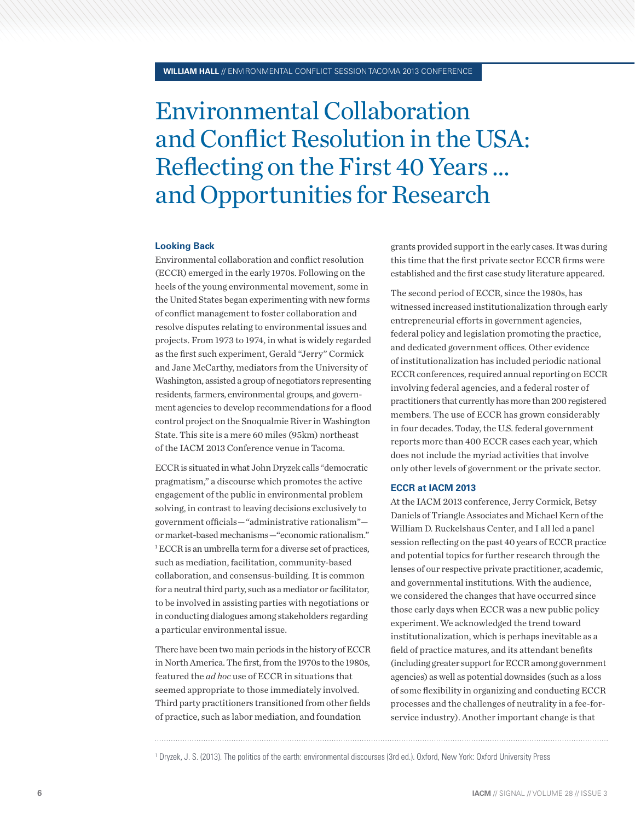## Environmental Collaboration and Conflict Resolution in the USA: Reflecting on the First 40 Years … and Opportunities for Research

## **Looking Back**

Environmental collaboration and conflict resolution (ECCR) emerged in the early 1970s. Following on the heels of the young environmental movement, some in the United States began experimenting with new forms of conflict management to foster collaboration and resolve disputes relating to environmental issues and projects. From 1973 to 1974, in what is widely regarded as the first such experiment, Gerald "Jerry" Cormick and Jane McCarthy, mediators from the University of Washington, assisted a group of negotiators representing residents, farmers, environmental groups, and government agencies to develop recommendations for a flood control project on the Snoqualmie River in Washington State. This site is a mere 60 miles (95km) northeast of the IACM 2013 Conference venue in Tacoma.

ECCR is situated in what John Dryzek calls "democratic pragmatism," a discourse which promotes the active engagement of the public in environmental problem solving, in contrast to leaving decisions exclusively to government officials — "administrative rationalism" or market-based mechanisms — "economic rationalism." 1 ECCR is an umbrella term for a diverse set of practices, such as mediation, facilitation, community-based collaboration, and consensus-building. It is common for a neutral third party, such as a mediator or facilitator, to be involved in assisting parties with negotiations or in conducting dialogues among stakeholders regarding a particular environmental issue.

There have been two main periods in the history of ECCR in North America. The first, from the 1970s to the 1980s, featured the *ad hoc* use of ECCR in situations that seemed appropriate to those immediately involved. Third party practitioners transitioned from other fields of practice, such as labor mediation, and foundation

grants provided support in the early cases. It was during this time that the first private sector ECCR firms were established and the first case study literature appeared.

The second period of ECCR, since the 1980s, has witnessed increased institutionalization through early entrepreneurial efforts in government agencies, federal policy and legislation promoting the practice, and dedicated government offices. Other evidence of institutionalization has included periodic national ECCR conferences, required annual reporting on ECCR involving federal agencies, and a federal roster of practitioners that currently has more than 200 registered members. The use of ECCR has grown considerably in four decades. Today, the U.S. federal government reports more than 400 ECCR cases each year, which does not include the myriad activities that involve only other levels of government or the private sector.

## **ECCR at IACM 2013**

At the IACM 2013 conference, Jerry Cormick, Betsy Daniels of Triangle Associates and Michael Kern of the William D. Ruckelshaus Center, and I all led a panel session reflecting on the past 40 years of ECCR practice and potential topics for further research through the lenses of our respective private practitioner, academic, and governmental institutions. With the audience, we considered the changes that have occurred since those early days when ECCR was a new public policy experiment. We acknowledged the trend toward institutionalization, which is perhaps inevitable as a field of practice matures, and its attendant benefits (including greater support for ECCR among government agencies) as well as potential downsides (such as a loss of some flexibility in organizing and conducting ECCR processes and the challenges of neutrality in a fee-forservice industry). Another important change is that

<sup>1</sup> Dryzek, J. S. (2013). The politics of the earth: environmental discourses (3rd ed.). Oxford, New York: Oxford University Press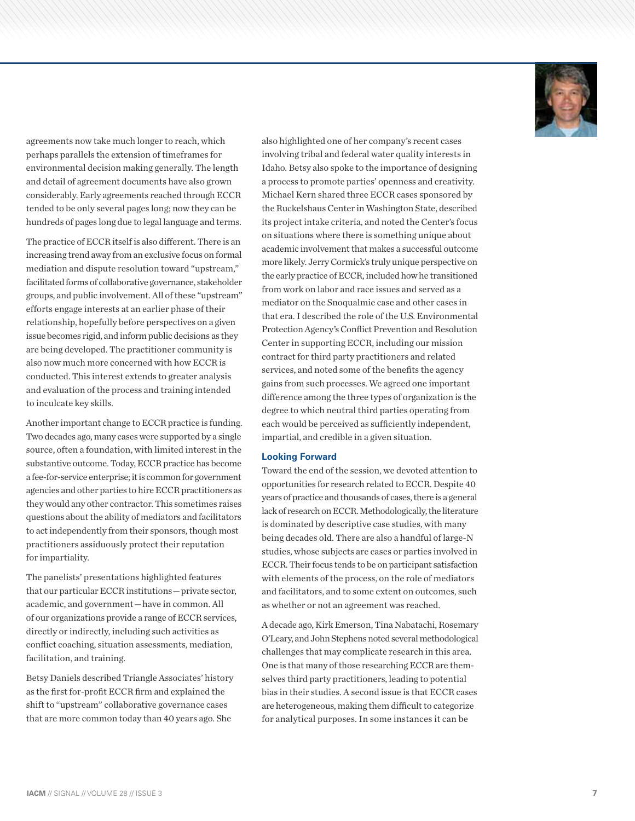

agreements now take much longer to reach, which perhaps parallels the extension of timeframes for environmental decision making generally. The length and detail of agreement documents have also grown considerably. Early agreements reached through ECCR tended to be only several pages long; now they can be hundreds of pages long due to legal language and terms.

The practice of ECCR itself is also different. There is an increasing trend away from an exclusive focus on formal mediation and dispute resolution toward "upstream," facilitated forms of collaborative governance, stakeholder groups, and public involvement. All of these "upstream" efforts engage interests at an earlier phase of their relationship, hopefully before perspectives on a given issue becomes rigid, and inform public decisions as they are being developed. The practitioner community is also now much more concerned with how ECCR is conducted. This interest extends to greater analysis and evaluation of the process and training intended to inculcate key skills.

Another important change to ECCR practice is funding. Two decades ago, many cases were supported by a single source, often a foundation, with limited interest in the substantive outcome. Today, ECCR practice has become a fee-for-service enterprise; it is common for government agencies and other parties to hire ECCR practitioners as they would any other contractor. This sometimes raises questions about the ability of mediators and facilitators to act independently from their sponsors, though most practitioners assiduously protect their reputation for impartiality.

The panelists' presentations highlighted features that our particular ECCR institutions — private sector, academic, and government — have in common. All of our organizations provide a range of ECCR services, directly or indirectly, including such activities as conflict coaching, situation assessments, mediation, facilitation, and training.

Betsy Daniels described Triangle Associates' history as the first for-profit ECCR firm and explained the shift to "upstream" collaborative governance cases that are more common today than 40 years ago. She

also highlighted one of her company's recent cases involving tribal and federal water quality interests in Idaho. Betsy also spoke to the importance of designing a process to promote parties' openness and creativity. Michael Kern shared three ECCR cases sponsored by the Ruckelshaus Center in Washington State, described its project intake criteria, and noted the Center's focus on situations where there is something unique about academic involvement that makes a successful outcome more likely. Jerry Cormick's truly unique perspective on the early practice of ECCR, included how he transitioned from work on labor and race issues and served as a mediator on the Snoqualmie case and other cases in that era. I described the role of the U.S. Environmental Protection Agency's Conflict Prevention and Resolution Center in supporting ECCR, including our mission contract for third party practitioners and related services, and noted some of the benefits the agency gains from such processes. We agreed one important difference among the three types of organization is the degree to which neutral third parties operating from each would be perceived as sufficiently independent, impartial, and credible in a given situation.

## **Looking Forward**

Toward the end of the session, we devoted attention to opportunities for research related to ECCR. Despite 40 years of practice and thousands of cases, there is a general lack of research on ECCR. Methodologically, the literature is dominated by descriptive case studies, with many being decades old. There are also a handful of large-N studies, whose subjects are cases or parties involved in ECCR. Their focus tends to be on participant satisfaction with elements of the process, on the role of mediators and facilitators, and to some extent on outcomes, such as whether or not an agreement was reached.

A decade ago, Kirk Emerson, Tina Nabatachi, Rosemary O'Leary, and John Stephens noted several methodological challenges that may complicate research in this area. One is that many of those researching ECCR are themselves third party practitioners, leading to potential bias in their studies. A second issue is that ECCR cases are heterogeneous, making them difficult to categorize for analytical purposes. In some instances it can be